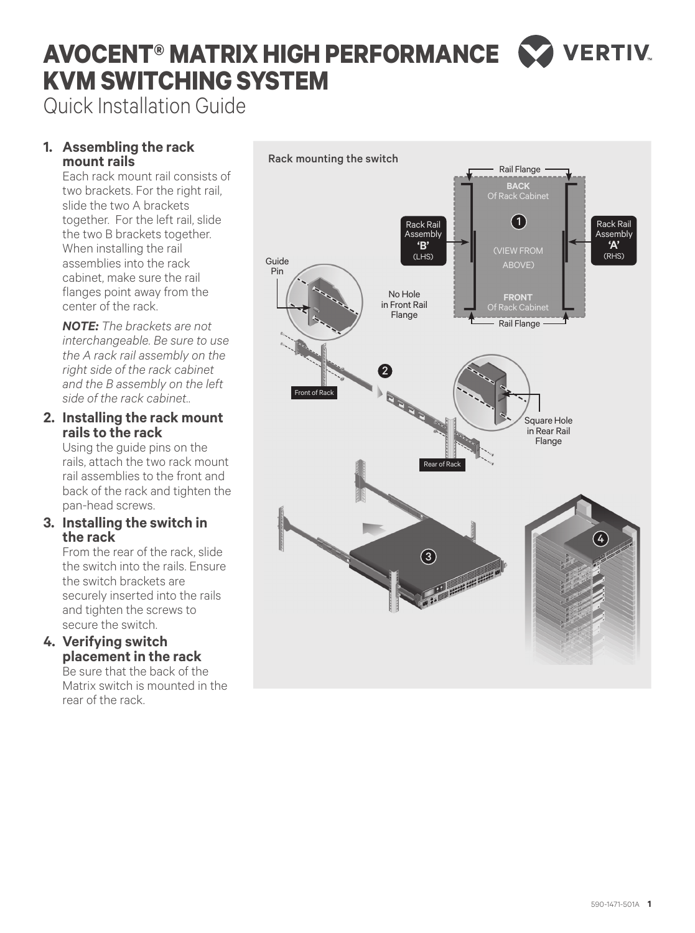# **VERTIV AVOCENT® MATRIX HIGH PERFORMANCE KVM SWITCHING SYSTEM**

Quick Installation Guide

## **1. Assembling the rack mount rails**

Each rack mount rail consists of two brackets. For the right rail, slide the two A brackets together. For the left rail, slide the two B brackets together. When installing the rail assemblies into the rack cabinet, make sure the rail flanges point away from the center of the rack.

*NOTE: The brackets are not interchangeable. Be sure to use the A rack rail assembly on the right side of the rack cabinet and the B assembly on the left side of the rack cabinet.*.

## **2. Installing the rack mount rails to the rack**

Using the guide pins on the rails, attach the two rack mount rail assemblies to the front and back of the rack and tighten the pan-head screws.

## **3. Installing the switch in the rack**

From the rear of the rack, slide the switch into the rails. Ensure the switch brackets are securely inserted into the rails and tighten the screws to secure the switch.

## **4. Verifying switch placement in the rack**

Be sure that the back of the Matrix switch is mounted in the rear of the rack.